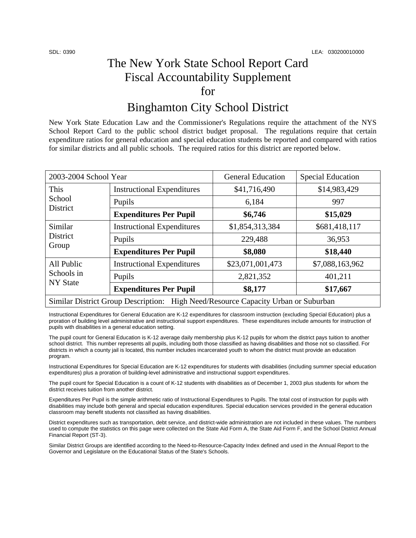# The New York State School Report Card Fiscal Accountability Supplement for

### Binghamton City School District

New York State Education Law and the Commissioner's Regulations require the attachment of the NYS School Report Card to the public school district budget proposal. The regulations require that certain expenditure ratios for general education and special education students be reported and compared with ratios for similar districts and all public schools. The required ratios for this district are reported below.

| 2003-2004 School Year                                                             |                                   | <b>General Education</b> | <b>Special Education</b> |  |
|-----------------------------------------------------------------------------------|-----------------------------------|--------------------------|--------------------------|--|
| This<br>School<br>District                                                        | <b>Instructional Expenditures</b> | \$41,716,490             | \$14,983,429             |  |
|                                                                                   | Pupils                            | 6,184                    | 997                      |  |
|                                                                                   | <b>Expenditures Per Pupil</b>     | \$6,746                  | \$15,029                 |  |
| Similar<br><b>District</b><br>Group                                               | <b>Instructional Expenditures</b> | \$1,854,313,384          | \$681,418,117            |  |
|                                                                                   | Pupils                            | 229,488                  | 36,953                   |  |
|                                                                                   | <b>Expenditures Per Pupil</b>     | \$8,080                  | \$18,440                 |  |
| All Public<br>Schools in<br><b>NY State</b>                                       | <b>Instructional Expenditures</b> | \$23,071,001,473         | \$7,088,163,962          |  |
|                                                                                   | Pupils                            | 2,821,352                | 401,211                  |  |
|                                                                                   | <b>Expenditures Per Pupil</b>     | \$8,177                  | \$17,667                 |  |
| Similar District Group Description: High Need/Resource Capacity Urban or Suburban |                                   |                          |                          |  |

Instructional Expenditures for General Education are K-12 expenditures for classroom instruction (excluding Special Education) plus a proration of building level administrative and instructional support expenditures. These expenditures include amounts for instruction of pupils with disabilities in a general education setting.

The pupil count for General Education is K-12 average daily membership plus K-12 pupils for whom the district pays tuition to another school district. This number represents all pupils, including both those classified as having disabilities and those not so classified. For districts in which a county jail is located, this number includes incarcerated youth to whom the district must provide an education program.

Instructional Expenditures for Special Education are K-12 expenditures for students with disabilities (including summer special education expenditures) plus a proration of building-level administrative and instructional support expenditures.

The pupil count for Special Education is a count of K-12 students with disabilities as of December 1, 2003 plus students for whom the district receives tuition from another district.

Expenditures Per Pupil is the simple arithmetic ratio of Instructional Expenditures to Pupils. The total cost of instruction for pupils with disabilities may include both general and special education expenditures. Special education services provided in the general education classroom may benefit students not classified as having disabilities.

District expenditures such as transportation, debt service, and district-wide administration are not included in these values. The numbers used to compute the statistics on this page were collected on the State Aid Form A, the State Aid Form F, and the School District Annual Financial Report (ST-3).

Similar District Groups are identified according to the Need-to-Resource-Capacity Index defined and used in the Annual Report to the Governor and Legislature on the Educational Status of the State's Schools.